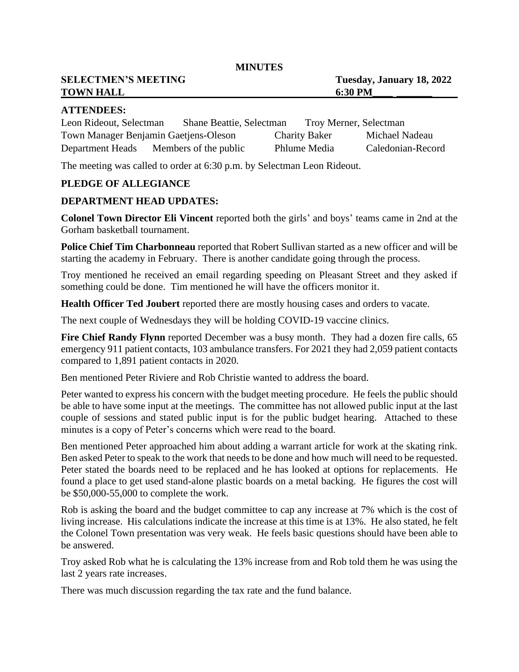**MINUTES**

**SELECTMEN'S MEETING Tuesday, January 18, 2022 TOWN HALL** 6:30 PM

## **ATTENDEES:**

| Leon Rideout, Selectman               | <b>Shane Beattie, Selectman</b> |                      | Troy Merner, Selectman |                   |
|---------------------------------------|---------------------------------|----------------------|------------------------|-------------------|
| Town Manager Benjamin Gaetjens-Oleson |                                 | <b>Charity Baker</b> |                        | Michael Nadeau    |
| Department Heads                      | Members of the public           | Phlume Media         |                        | Caledonian-Record |

The meeting was called to order at 6:30 p.m. by Selectman Leon Rideout.

### **PLEDGE OF ALLEGIANCE**

### **DEPARTMENT HEAD UPDATES:**

**Colonel Town Director Eli Vincent** reported both the girls' and boys' teams came in 2nd at the Gorham basketball tournament.

**Police Chief Tim Charbonneau** reported that Robert Sullivan started as a new officer and will be starting the academy in February. There is another candidate going through the process.

Troy mentioned he received an email regarding speeding on Pleasant Street and they asked if something could be done. Tim mentioned he will have the officers monitor it.

**Health Officer Ted Joubert** reported there are mostly housing cases and orders to vacate.

The next couple of Wednesdays they will be holding COVID-19 vaccine clinics.

**Fire Chief Randy Flynn** reported December was a busy month. They had a dozen fire calls, 65 emergency 911 patient contacts, 103 ambulance transfers. For 2021 they had 2,059 patient contacts compared to 1,891 patient contacts in 2020.

Ben mentioned Peter Riviere and Rob Christie wanted to address the board.

Peter wanted to express his concern with the budget meeting procedure. He feels the public should be able to have some input at the meetings. The committee has not allowed public input at the last couple of sessions and stated public input is for the public budget hearing. Attached to these minutes is a copy of Peter's concerns which were read to the board.

Ben mentioned Peter approached him about adding a warrant article for work at the skating rink. Ben asked Peter to speak to the work that needs to be done and how much will need to be requested. Peter stated the boards need to be replaced and he has looked at options for replacements. He found a place to get used stand-alone plastic boards on a metal backing. He figures the cost will be \$50,000-55,000 to complete the work.

Rob is asking the board and the budget committee to cap any increase at 7% which is the cost of living increase. His calculations indicate the increase at this time is at 13%. He also stated, he felt the Colonel Town presentation was very weak. He feels basic questions should have been able to be answered.

Troy asked Rob what he is calculating the 13% increase from and Rob told them he was using the last 2 years rate increases.

There was much discussion regarding the tax rate and the fund balance.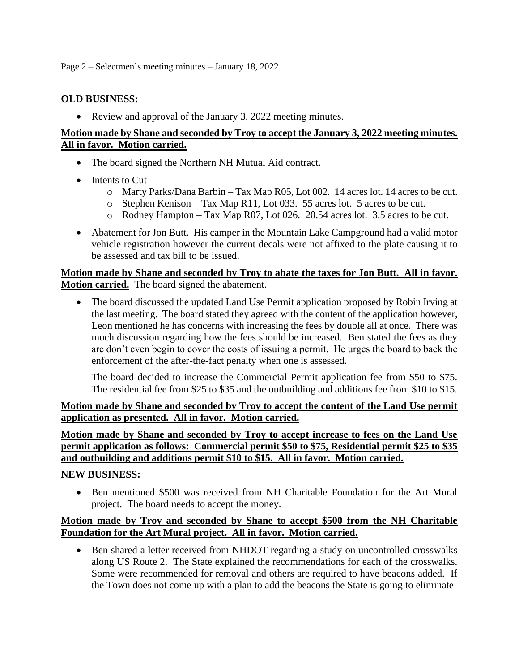# **OLD BUSINESS:**

• Review and approval of the January 3, 2022 meeting minutes.

# **Motion made by Shane and seconded by Troy to accept the January 3, 2022 meeting minutes. All in favor. Motion carried.**

- The board signed the Northern NH Mutual Aid contract.
- Intents to  $Cut$ 
	- o Marty Parks/Dana Barbin Tax Map R05, Lot 002. 14 acres lot. 14 acres to be cut.
	- o Stephen Kenison Tax Map R11, Lot 033. 55 acres lot. 5 acres to be cut.
	- o Rodney Hampton Tax Map R07, Lot 026. 20.54 acres lot. 3.5 acres to be cut.
- Abatement for Jon Butt. His camper in the Mountain Lake Campground had a valid motor vehicle registration however the current decals were not affixed to the plate causing it to be assessed and tax bill to be issued.

**Motion made by Shane and seconded by Troy to abate the taxes for Jon Butt. All in favor. Motion carried.** The board signed the abatement.

• The board discussed the updated Land Use Permit application proposed by Robin Irving at the last meeting. The board stated they agreed with the content of the application however, Leon mentioned he has concerns with increasing the fees by double all at once. There was much discussion regarding how the fees should be increased. Ben stated the fees as they are don't even begin to cover the costs of issuing a permit. He urges the board to back the enforcement of the after-the-fact penalty when one is assessed.

The board decided to increase the Commercial Permit application fee from \$50 to \$75. The residential fee from \$25 to \$35 and the outbuilding and additions fee from \$10 to \$15.

**Motion made by Shane and seconded by Troy to accept the content of the Land Use permit application as presented. All in favor. Motion carried.**

**Motion made by Shane and seconded by Troy to accept increase to fees on the Land Use permit application as follows: Commercial permit \$50 to \$75, Residential permit \$25 to \$35 and outbuilding and additions permit \$10 to \$15. All in favor. Motion carried.**

# **NEW BUSINESS:**

• Ben mentioned \$500 was received from NH Charitable Foundation for the Art Mural project. The board needs to accept the money.

# **Motion made by Troy and seconded by Shane to accept \$500 from the NH Charitable Foundation for the Art Mural project. All in favor. Motion carried.**

• Ben shared a letter received from NHDOT regarding a study on uncontrolled crosswalks along US Route 2. The State explained the recommendations for each of the crosswalks. Some were recommended for removal and others are required to have beacons added. If the Town does not come up with a plan to add the beacons the State is going to eliminate